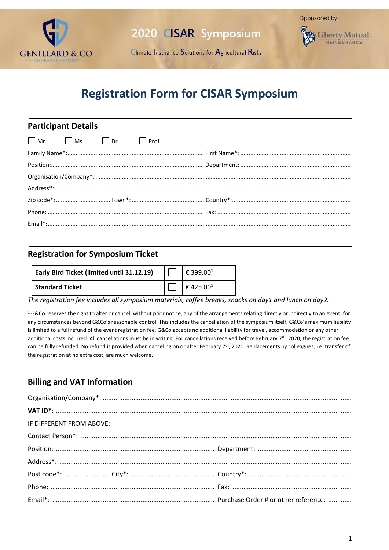

Climate Insurance Solutions for Agricultural Risks



# **Registration Form for CISAR Symposium**

| <b>Participant Details</b> |  |                   |  |  |  |  |
|----------------------------|--|-------------------|--|--|--|--|
|                            |  | Mr. Ms. Dr. Prof. |  |  |  |  |
|                            |  |                   |  |  |  |  |
|                            |  |                   |  |  |  |  |
|                            |  |                   |  |  |  |  |
|                            |  |                   |  |  |  |  |
|                            |  |                   |  |  |  |  |
|                            |  |                   |  |  |  |  |
|                            |  |                   |  |  |  |  |

#### **Registration for Symposium Ticket**

| Early Bird Ticket (limited until 31.12.19) | € 399.00 <sup>1</sup> |
|--------------------------------------------|-----------------------|
| l Standard Ticket                          | €425.001              |

*The registration fee includes all symposium materials, coffee breaks, snacks on day1 and lunch on day2.* 

<sup>1</sup> G&Co reserves the right to alter or cancel, without prior notice, any of the arrangements relating directly or indirectly to an event, for any circumstances beyond G&Co's reasonable control. This includes the cancellation of the symposium itself. G&Co's maximum liability is limited to a full refund of the event registration fee. G&Co accepts no additional liability for travel, accommodation or any other additional costs incurred. All cancellations must be in writing. For cancellations received before February 7<sup>th</sup>, 2020, the registration fee can be fully refunded. No refund is provided when canceling on or after February 7<sup>th</sup>, 2020. Replacements by colleagues, i.e. transfer of the registration at no extra cost, are much welcome.

#### **Billing and VAT Information**

| IF DIFFERENT FROM ABOVE: |  |  |  |  |  |  |  |
|--------------------------|--|--|--|--|--|--|--|
|                          |  |  |  |  |  |  |  |
|                          |  |  |  |  |  |  |  |
|                          |  |  |  |  |  |  |  |
|                          |  |  |  |  |  |  |  |
|                          |  |  |  |  |  |  |  |
|                          |  |  |  |  |  |  |  |